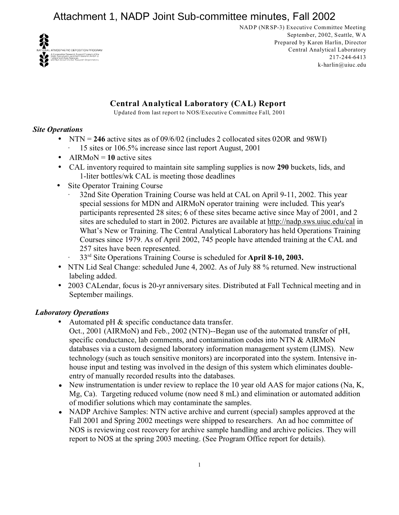

NADP (NRSP-3) Executive Committee Meeting September, 2002, Seattle, WA Prepared by Karen Harlin, Director Central Analytical Laboratory 217-244-6413 k-harlin@uiuc.edu

# **Central Analytical Laboratory (CAL) Report**

Updated from last report to NOS/Executive Committee Fall, 2001

## *Site Operations*

- NTN = **246** active sites as of 09/6/02 (includes 2 collocated sites 02OR and 98WI)
- · 15 sites or 106.5% increase since last report August, 2001
- AIRMoN  $= 10$  active sites
- CAL inventory required to maintain site sampling supplies is now **290** buckets, lids, and 1-liter bottles/wk CAL is meeting those deadlines
- Site Operator Training Course
	- 32nd Site Operation Training Course was held at CAL on April 9-11, 2002. This year special sessions for MDN and AIRMoN operator training were included. This year's participants represented 28 sites; 6 of these sites became active since May of 2001, and 2 sites are scheduled to start in 2002. Pictures are available at<http://nadp.sws.uiuc.edu/cal> in What's New or Training. The Central Analytical Laboratory has held Operations Training Courses since 1979. As of April 2002, 745 people have attended training at the CAL and 257 sites have been represented.
	- · 33rd Site Operations Training Course is scheduled for **April 8-10, 2003.**
- NTN Lid Seal Change: scheduled June 4, 2002. As of July 88 % returned. New instructional labeling added.
- 2003 CALendar, focus is 20-yr anniversary sites. Distributed at Fall Technical meeting and in September mailings.

# *Laboratory Operations*

- Automated pH  $&$  specific conductance data transfer.
	- Oct., 2001 (AIRMoN) and Feb., 2002 (NTN)--Began use of the automated transfer of pH, specific conductance, lab comments, and contamination codes into NTN & AIRMoN databases via a custom designed laboratory information management system (LIMS). New technology (such as touch sensitive monitors) are incorporated into the system. Intensive inhouse input and testing was involved in the design of this system which eliminates doubleentry of manually recorded results into the databases.
- ! New instrumentation is under review to replace the 10 year old AAS for major cations (Na, K, Mg, Ca). Targeting reduced volume (now need 8 mL) and elimination or automated addition of modifier solutions which may contaminate the samples.
- NADP Archive Samples: NTN active archive and current (special) samples approved at the Fall 2001 and Spring 2002 meetings were shipped to researchers. An ad hoc committee of NOS is reviewing cost recovery for archive sample handling and archive policies. They will report to NOS at the spring 2003 meeting. (See Program Office report for details).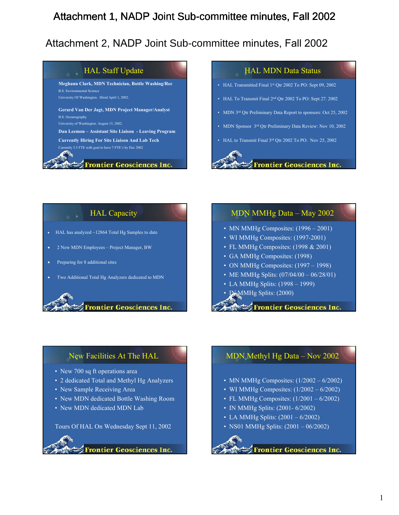#### HAL Staff Update HAL MDN Data Status **Meghann Clark, MDN Technician, Bottle Washing/Rec** • HAL Transmitted Final 1st Qtr 2002 To PO: Sept 09, 2002 B.S. Environmental Science University Of Washington. Hired April 1, 2002. • HAL To Transmit Final 2nd Qtr 2002 To PO: Sept 27. 2002 **Gerard Van Der Jagt, MDN Project Manager/Analyst** • MDN 3<sup>rd</sup> Qtr Preliminary Data Report to sponsors: Oct 25, 2002 B.S. Oceanography University of Washington. August 15, 2002. • MDN Sponsor 3<sup>rd</sup> Qtr Preliminary Data Review: Nov 10, 2002 **Dan Leemon – Assistant Site Liaison - Leaving Program Currently Hiring For Site Liaison And Lab Tech** • HAL to Transmit Final 3rd Qtr 2002 To PO: Nov 25, 2002 Currently 5.5 FTE with goal to have 7 FTE's by Dec 2002 **Frontier Geosciences Inc. Frontier Geosciences Inc.**

# HAL Capacity

- HAL has analyzed ~12864 Total Hg Samples to date
- 2 New MDN Employees Project Manager, BW
- Preparing for 8 additional sites
- Two Additional Total Hg Analyzers dedicated to MDN

## **Frontier Geosciences Inc.**

## MDN MMHg Data – May 2002

- MN MMHg Composites: (1996 2001)
- WI MMHg Composites: (1997-2001)
- FL MMHg Composites: (1998 & 2001)
- GA MMHg Composites: (1998)
- ON MMHg Composites: (1997 1998)
- ME MMHg Splits:  $(07/04/00 06/28/01)$
- LA MMHg Splits: (1998 1999)
- IN MMHg Splits: (2000)

**Frontier Geosciences Inc.** 

# New Facilities At The HAL

- New 700 sq ft operations area
- 2 dedicated Total and Methyl Hg Analyzers
- New Sample Receiving Area
- New MDN dedicated Bottle Washing Room
- New MDN dedicated MDN Lab

Tours Of HAL On Wednesday Sept 11, 2002

**Frontier Geosciences Inc.** 

# MDN Methyl Hg Data – Nov 2002

- MN MMHg Composites: (1/2002 6/2002)
- WI MMHg Composites:  $(1/2002 6/2002)$
- FL MMHg Composites: (1/2001 6/2002)
- IN MMHg Splits: (2001-6/2002)
- LA MMHg Splits: (2001 6/2002)
- NS01 MMHg Splits: (2001 06/2002)

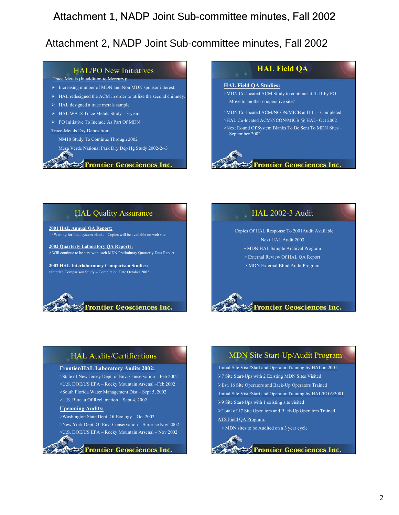## HAL/PO New Initiatives

#### Trace Metals (In addition to Mercury):

- ¾ Increasing number of MDN and Non MDN sponsor interest.
- $\triangleright$  HAL redesigned the ACM in order to utilize the second chimney.
- $\triangleright$  HAL designed a trace metals sample.
- $\triangleright$  HAL WA18 Trace Metals Study 3 years
- ¾ PO Initiative To Include As Part Of MDN

#### Trace-Metals Dry Deposition:

NM10 Study To Continue Through 2002

Mesa Verde National Park Dry Dep Hg Study 2002-2--3

#### **Frontier Geosciences Inc.**

## **HAL Field QA**

#### **HAL Field QA Studies:**

>MDN Co-located ACM Study to continue at IL11 by PO Move to another cooperative site?

- >MDN Co-located ACM/NCON/MICB at IL11 Completed >HAL Co-located ACM/NCON/MICB @ HAL- Oct 2002
- >Next Round Of System Blanks To Be Sent To MDN Sites September 2002



### HAL Quality Assurance

**2001 HAL Annual QA Report:** > Waiting for final system blanks - Copies will be available on web site.

**2002 Quarterly Laboratory QA Reports: >** Will continue to be sent with each MDN Preliminary Quarterly Data Report

**2002 HAL Interlaboratory Comparison Studies:**  >Interlab Comparison Study:– Completion Date October 2002



### HAL 2002-3 Audit

Copies Of HAL Response To 2001Audit Available Next HAL Audit 2003 • MDN HAL Sample Archival Program • External Review Of HAL QA Report • MDN External Blind Audit Program



## HAL Audits/Certifications

#### **Frontier/HAL Laboratory Audits 2002:**

>State of New Jersey Dept. of Env. Conservation – Feb 2002 >U.S. DOE/US EPA – Rocky Mountain Arsenal –Feb 2002 >South Florida Water Management Dist – Sept 5, 2002 >U.S. Bureau Of Reclamation – Sept 4, 2002

#### **Upcoming Audits:**

>Washington State Dept. Of Ecology – Oct 2002 >New York Dept. Of Env. Conservation – Surprise Nov 2002 >U.S. DOE/US EPA – Rocky Mountain Arsenal – Nov 2002

**Frontier Geosciences Inc.** 

### MDN Site Start-Up/Audit Program

Initial Site Visit/Start and Operator Training by HAL in 2001 ¾7 Site Start-Ups with 2 Existing MDN Sites Visited ¾Est. 16 Site Operators and Back-Up Operators Trained Initial Site Visit/Start and Operator Training by HAL/PO 6/2001 ¾9 Site Start-Ups with 1 existing site visited ¾Total of 17 Site Operators and Back-Up Operators Trained ATS Field QA Program:

> MDN sites to be Audited on a 3 year cycle

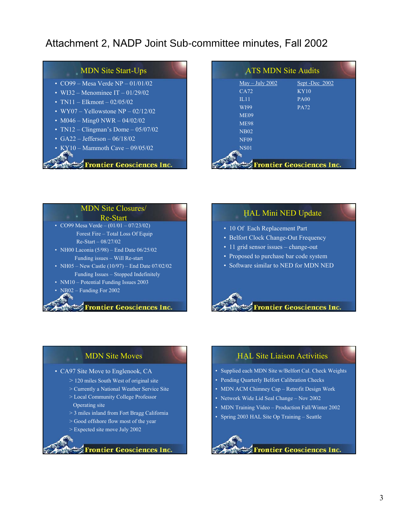## MDN Site Start-Ups

- CO99 Mesa Verde NP 01/01/02
- WI32 Menominee IT  $01/29/02$
- TN11 Elkmont  $02/05/02$
- WY07 Yellowstone  $\overline{NP}$  02/12/02
- M046 Ming0 NWR 04/02/02
- TN12 Clingman's Dome  $05/07/02$
- $\overline{\text{G}}$ A22 Jefferson 06/18/02
- $\cdot$  KY10 Mammoth Cave 09/05/02

### **Frontier Geosciences Inc.**

| <b>ATS MDN Site Audits</b>                  |               |
|---------------------------------------------|---------------|
| $\overline{\text{May}} - \text{July } 2002$ | Sept-Dec 2002 |
| CA72                                        | KY10          |
| $\Pi.11$                                    | <b>PA00</b>   |
| WI99                                        | <b>PA72</b>   |
| <b>ME09</b>                                 |               |
| <b>ME98</b>                                 |               |
| <b>NB02</b>                                 |               |
| <b>NF09</b>                                 |               |
| <b>NS01</b>                                 |               |
|                                             |               |
| <b>Frontier Geosciences Inc.</b>            |               |

## MDN Site Closures/

#### Re-Start

- CO99 Mesa Verde  $(01/01 07/23/02)$ Forest Fire – Total Loss Of Equip Re-Start – 08/27/02
- NH00 Laconia  $(5/98)$  End Date  $06/25/02$ Funding issues – Will Re-start
- NH05 New Castle (10/97) End Date 07/02/02 Funding Issues – Stopped Indefinitely
- NM10 Potential Funding Issues 2003
- NB02 Funding For 2002

#### **Frontier Geosciences Inc.**

### HAL Mini NED Update

- 10 Of Each Replacement Part
- Belfort Clock Change-Out Frequency
- 11 grid sensor issues change-out
- Proposed to purchase bar code system
- Software similar to NED for MDN NED



### MDN Site Moves

### • CA97 Site Move to Englenook, CA

- > 120 miles South West of original site
- > Currently a National Weather Service Site
- > Local Community College Professor Operating site
- > 3 miles inland from Fort Bragg California
- > Good offshore flow most of the year
- > Expected site move July 2002



### HAL Site Liaison Activities

- Supplied each MDN Site w/Belfort Cal. Check Weights
- Pending Quarterly Belfort Calibration Checks
- MDN ACM Chimney Cap Retrofit Design Work
- Network Wide Lid Seal Change Nov 2002
- MDN Training Video Production Fall/Winter 2002
- Spring 2003 HAL Site Op Training Seattle

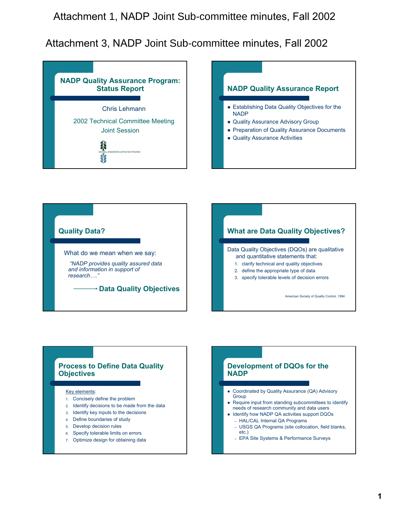





### **Process to Define Data Quality Objectives**

Key elements:

- 1. Concisely define the problem
- 2. Identify decisions to be made from the data
- 3. Identify key inputs to the decisions
- 4. Define boundaries of study
- 5. Develop decision rules
- 6. Specify tolerable limits on errors
- 7. Optimize design for obtaining data

### **Development of DQOs for the NADP**

- Coordinated by Quality Assurance (QA) Advisory **Group**
- Require input from standing subcommittees to identify needs of research community and data users
- Identify how NADP QA activities support DQOs – HAL/CAL Internal QA Programs
	- USGS QA Programs (site collocation, field blanks, etc.)
	- EPA Site Systems & Performance Surveys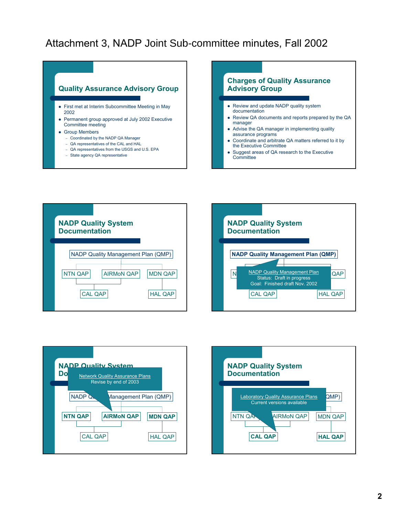

- First met at Interim Subcommittee Meeting in May 2002
- Permanent group approved at July 2002 Executive Committee meeting
- Group Members
	- Coordinated by the NADP QA Manager
	- QA representatives of the CAL and HAL
	- QA representatives from the USGS and U.S. EPA
	- State agency QA representative



- Review and update NADP quality system documentation
- Review QA documents and reports prepared by the QA manager
- Advise the QA manager in implementing quality assurance programs
- Coordinate and arbitrate QA matters referred to it by the Executive Committee
- Suggest areas of QA research to the Executive **Committee**







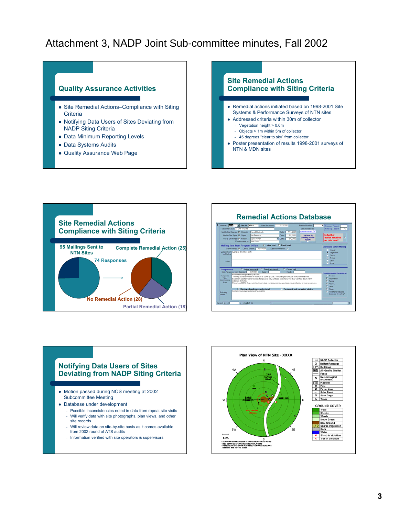## **Quality Assurance Activities**

- Site Remedial Actions–Compliance with Siting **Criteria**
- Notifying Data Users of Sites Deviating from NADP Siting Criteria
- Data Minimum Reporting Levels
- Data Systems Audits
- Quality Assurance Web Page

# **Site Remedial Actions Compliance with Siting Criteria**

- Remedial actions initiated based on 1998-2001 Site Systems & Performance Surveys of NTN sites
- Addressed criteria within 30m of collector
	- Vegetation height > 0.6m
	- Objects > 1m within 5m of collector
	- 45 degrees "clear to sky" from collector
- Poster presentation of results 1998-2001 surveys of NTN & MDN sites





### **Notifying Data Users of Sites Deviating from NADP Siting Criteria** • Motion passed during NOS meeting at 2002 Subcommittee Meeting • Database under development – Possible inconsistencies noted in data from repeat site visits – Will verify data with site photographs, plan views, and other site records – Will review data on site-by-site basis as it comes available from 2002 round of ATS audits

– Information verified with site operators & supervisors